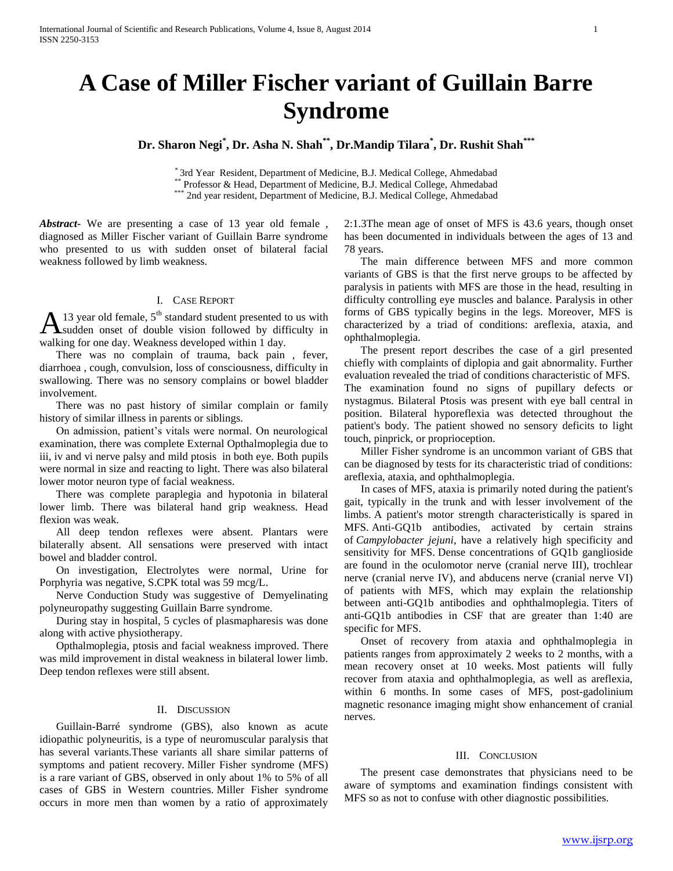# **A Case of Miller Fischer variant of Guillain Barre Syndrome**

**Dr. Sharon Negi\* , Dr. Asha N. Shah\*\* , Dr.Mandip Tilara\* , Dr. Rushit Shah\*\*\***

\* 3rd Year Resident, Department of Medicine, B.J. Medical College, Ahmedabad \* Professor & Head, Department of Medicine, B.J. Medical College, Ahmedabad

\*\*\* 2nd year resident, Department of Medicine, B.J. Medical College, Ahmedabad

*Abstract***-** We are presenting a case of 13 year old female , diagnosed as Miller Fischer variant of Guillain Barre syndrome who presented to us with sudden onset of bilateral facial weakness followed by limb weakness.

# I. CASE REPORT

13 year old female,  $5<sup>th</sup>$  standard student presented to us with sudden onset of double vision followed by difficulty in walking for one day. Weakness developed within 1 day. A

 There was no complain of trauma, back pain , fever, diarrhoea , cough, convulsion, loss of consciousness, difficulty in swallowing. There was no sensory complains or bowel bladder involvement.

 There was no past history of similar complain or family history of similar illness in parents or siblings.

 On admission, patient's vitals were normal. On neurological examination, there was complete External Opthalmoplegia due to iii, iv and vi nerve palsy and mild ptosis in both eye. Both pupils were normal in size and reacting to light. There was also bilateral lower motor neuron type of facial weakness.

 There was complete paraplegia and hypotonia in bilateral lower limb. There was bilateral hand grip weakness. Head flexion was weak.

 All deep tendon reflexes were absent. Plantars were bilaterally absent. All sensations were preserved with intact bowel and bladder control.

 On investigation, Electrolytes were normal, Urine for Porphyria was negative, S.CPK total was 59 mcg/L.

 Nerve Conduction Study was suggestive of Demyelinating polyneuropathy suggesting Guillain Barre syndrome.

 During stay in hospital, 5 cycles of plasmapharesis was done along with active physiotherapy.

 Opthalmoplegia, ptosis and facial weakness improved. There was mild improvement in distal weakness in bilateral lower limb. Deep tendon reflexes were still absent.

#### II. DISCUSSION

 Guillain-Barré syndrome (GBS), also known as acute idiopathic polyneuritis, is a type of neuromuscular paralysis that has several variants.These variants all share similar patterns of symptoms and patient recovery. Miller Fisher syndrome (MFS) is a rare variant of GBS, observed in only about 1% to 5% of all cases of GBS in Western countries. Miller Fisher syndrome occurs in more men than women by a ratio of approximately

2:1.3The mean age of onset of MFS is 43.6 years, though onset has been documented in individuals between the ages of 13 and 78 years.

 The main difference between MFS and more common variants of GBS is that the first nerve groups to be affected by paralysis in patients with MFS are those in the head, resulting in difficulty controlling eye muscles and balance. Paralysis in other forms of GBS typically begins in the legs. Moreover, MFS is characterized by a triad of conditions: areflexia, ataxia, and ophthalmoplegia.

 The present report describes the case of a girl presented chiefly with complaints of diplopia and gait abnormality. Further evaluation revealed the triad of conditions characteristic of MFS. The examination found no signs of pupillary defects or nystagmus. Bilateral Ptosis was present with eye ball central in position. Bilateral hyporeflexia was detected throughout the patient's body. The patient showed no sensory deficits to light touch, pinprick, or proprioception.

 Miller Fisher syndrome is an uncommon variant of GBS that can be diagnosed by tests for its characteristic triad of conditions: areflexia, ataxia, and ophthalmoplegia.

 In cases of MFS, ataxia is primarily noted during the patient's gait, typically in the trunk and with lesser involvement of the limbs. A patient's motor strength characteristically is spared in MFS. Anti-GQ1b antibodies, activated by certain strains of *Campylobacter jejuni*, have a relatively high specificity and sensitivity for MFS. Dense concentrations of GQ1b ganglioside are found in the oculomotor nerve (cranial nerve III), trochlear nerve (cranial nerve IV), and abducens nerve (cranial nerve VI) of patients with MFS, which may explain the relationship between anti-GQ1b antibodies and ophthalmoplegia. Titers of anti-GQ1b antibodies in CSF that are greater than 1:40 are specific for MFS.

 Onset of recovery from ataxia and ophthalmoplegia in patients ranges from approximately 2 weeks to 2 months, with a mean recovery onset at 10 weeks. Most patients will fully recover from ataxia and ophthalmoplegia, as well as areflexia, within 6 months. In some cases of MFS, post-gadolinium magnetic resonance imaging might show enhancement of cranial nerves.

## III. CONCLUSION

 The present case demonstrates that physicians need to be aware of symptoms and examination findings consistent with MFS so as not to confuse with other diagnostic possibilities.